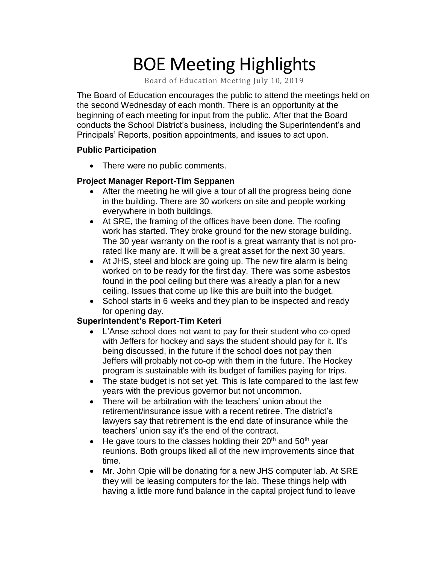# BOE Meeting Highlights

Board of Education Meeting July 10, 2019

 The Board of Education encourages the public to attend the meetings held on the second Wednesday of each month. There is an opportunity at the beginning of each meeting for input from the public. After that the Board conducts the School District's business, including the Superintendent's and Principals' Reports, position appointments, and issues to act upon.

#### **Public Participation**

• There were no public comments.

## **Project Manager Report-Tim Seppanen**

- After the meeting he will give a tour of all the progress being done in the building. There are 30 workers on site and people working everywhere in both buildings.
- At SRE, the framing of the offices have been done. The roofing work has started. They broke ground for the new storage building. The 30 year warranty on the roof is a great warranty that is not prorated like many are. It will be a great asset for the next 30 years.
- At JHS, steel and block are going up. The new fire alarm is being worked on to be ready for the first day. There was some asbestos found in the pool ceiling but there was already a plan for a new ceiling. Issues that come up like this are built into the budget.
- School starts in 6 weeks and they plan to be inspected and ready for opening day.

## **Superintendent's Report-Tim Keteri**

- L'Anse school does not want to pay for their student who co-oped with Jeffers for hockey and says the student should pay for it. It's being discussed, in the future if the school does not pay then Jeffers will probably not co-op with them in the future. The Hockey program is sustainable with its budget of families paying for trips.
- The state budget is not set yet. This is late compared to the last few years with the previous governor but not uncommon.
- There will be arbitration with the teachers' union about the retirement/insurance issue with a recent retiree. The district's lawyers say that retirement is the end date of insurance while the teachers' union say it's the end of the contract.
- $\bullet$  He gave tours to the classes holding their 20<sup>th</sup> and 50<sup>th</sup> year reunions. Both groups liked all of the new improvements since that time.
- Mr. John Opie will be donating for a new JHS computer lab. At SRE they will be leasing computers for the lab. These things help with having a little more fund balance in the capital project fund to leave